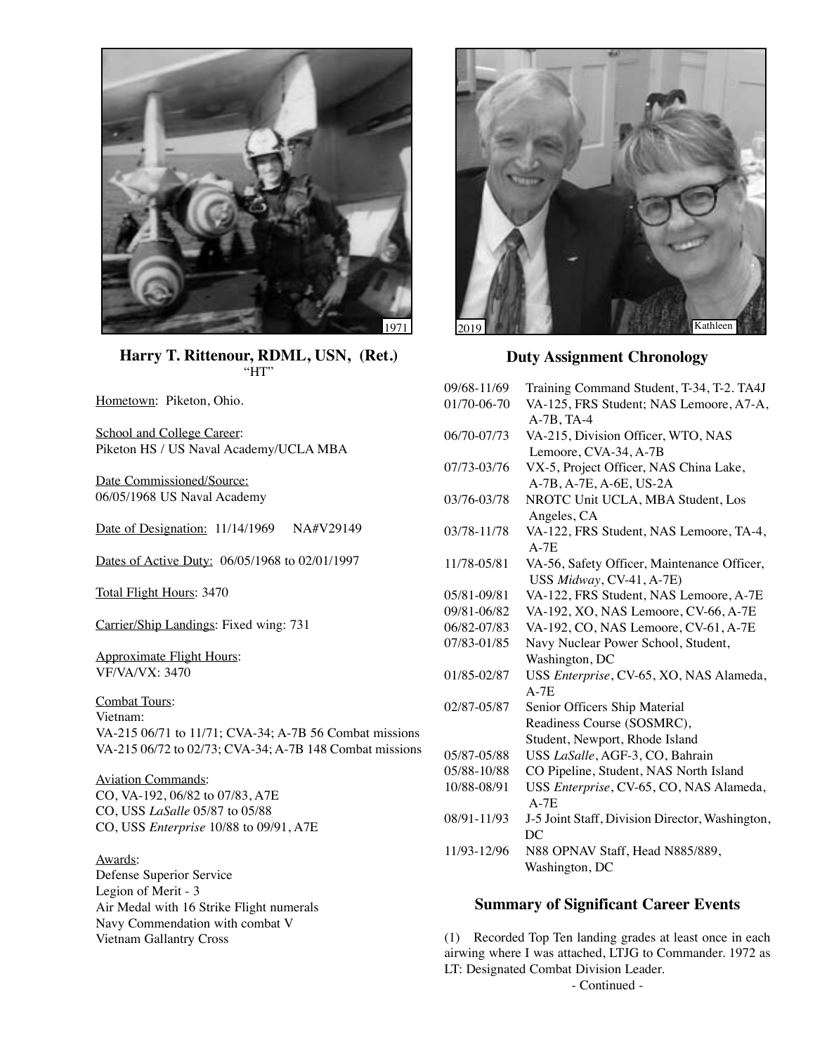

**Harry T. Rittenour, RDML, USN, (Ret.)** "HT"

Hometown: Piketon, Ohio.

School and College Career: Piketon HS / US Naval Academy/UCLA MBA

Date Commissioned/Source: 06/05/1968 US Naval Academy

Date of Designation: 11/14/1969 NA#V29149

Dates of Active Duty: 06/05/1968 to 02/01/1997

Total Flight Hours: 3470

Carrier/Ship Landings: Fixed wing: 731

Approximate Flight Hours: VF/VA/VX: 3470

Combat Tours: Vietnam: VA-215 06/71 to 11/71; CVA-34; A-7B 56 Combat missions VA-215 06/72 to 02/73; CVA-34; A-7B 148 Combat missions

Aviation Commands: CO, VA-192, 06/82 to 07/83, A7E CO, USS *LaSalle* 05/87 to 05/88 CO, USS *Enterprise* 10/88 to 09/91, A7E

Awards: Defense Superior Service Legion of Merit - 3 Air Medal with 16 Strike Flight numerals Navy Commendation with combat V Vietnam Gallantry Cross



**Duty Assignment Chronology**

| 09/68-11/69 | Training Command Student, T-34, T-2. TA4J         |
|-------------|---------------------------------------------------|
| 01/70-06-70 | VA-125, FRS Student; NAS Lemoore, A7-A,           |
|             | $A-7B$ , TA-4                                     |
| 06/70-07/73 | VA-215, Division Officer, WTO, NAS                |
|             | Lemoore, CVA-34, A-7B                             |
| 07/73-03/76 | VX-5, Project Officer, NAS China Lake,            |
|             | A-7B, A-7E, A-6E, US-2A                           |
| 03/76-03/78 | NROTC Unit UCLA, MBA Student, Los                 |
|             | Angeles, CA                                       |
| 03/78-11/78 | VA-122, FRS Student, NAS Lemoore, TA-4,           |
|             | $A-7E$                                            |
| 11/78-05/81 | VA-56, Safety Officer, Maintenance Officer,       |
|             | USS Midway, CV-41, A-7E)                          |
| 05/81-09/81 | VA-122, FRS Student, NAS Lemoore, A-7E            |
| 09/81-06/82 | VA-192, XO, NAS Lemoore, CV-66, A-7E              |
| 06/82-07/83 | VA-192, CO, NAS Lemoore, CV-61, A-7E              |
| 07/83-01/85 | Navy Nuclear Power School, Student,               |
|             | Washington, DC                                    |
| 01/85-02/87 | USS Enterprise, CV-65, XO, NAS Alameda,           |
|             | $A-7E$                                            |
| 02/87-05/87 | Senior Officers Ship Material                     |
|             | Readiness Course (SOSMRC),                        |
|             | Student, Newport, Rhode Island                    |
| 05/87-05/88 | USS LaSalle, AGF-3, CO, Bahrain                   |
| 05/88-10/88 | CO Pipeline, Student, NAS North Island            |
| 10/88-08/91 | USS Enterprise, CV-65, CO, NAS Alameda,<br>$A-7E$ |
| 08/91-11/93 | J-5 Joint Staff, Division Director, Washington,   |
|             | DC                                                |
| 11/93-12/96 | N88 OPNAV Staff, Head N885/889,                   |
|             | Washington, DC                                    |

#### **Summary of Significant Career Events**

(1) Recorded Top Ten landing grades at least once in each airwing where I was attached, LTJG to Commander. 1972 as LT: Designated Combat Division Leader.

- Continued -